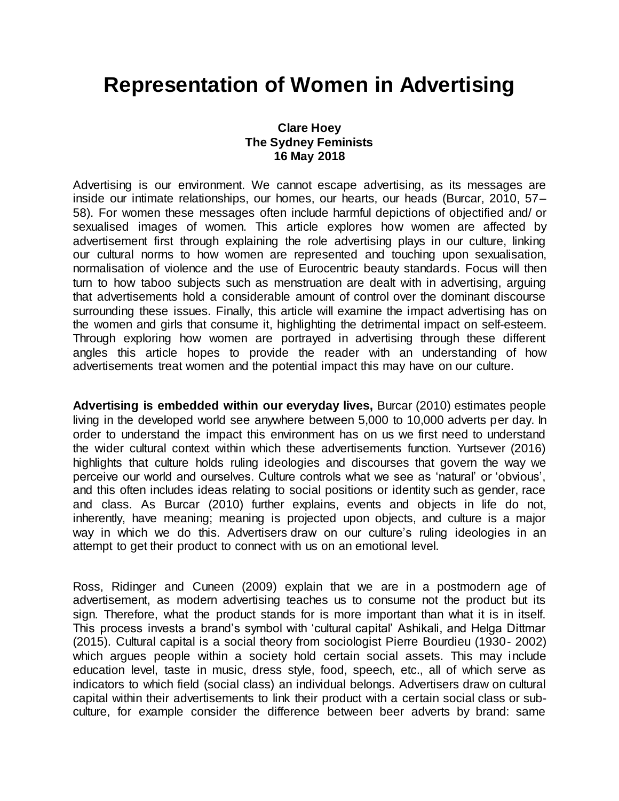# **Representation of Women in Advertising**

### **Clare Hoey The Sydney Feminists 16 May 2018**

Advertising is our environment. We cannot escape advertising, as its messages are inside our intimate relationships, our homes, our hearts, our heads (Burcar, 2010, 57– 58). For women these messages often include harmful depictions of objectified and/ or sexualised images of women. This article explores how women are affected by advertisement first through explaining the role advertising plays in our culture, linking our cultural norms to how women are represented and touching upon sexualisation, normalisation of violence and the use of Eurocentric beauty standards. Focus will then turn to how taboo subjects such as menstruation are dealt with in advertising, arguing that advertisements hold a considerable amount of control over the dominant discourse surrounding these issues. Finally, this article will examine the impact advertising has on the women and girls that consume it, highlighting the detrimental impact on self-esteem. Through exploring how women are portrayed in advertising through these different angles this article hopes to provide the reader with an understanding of how advertisements treat women and the potential impact this may have on our culture.

**Advertising is embedded within our everyday lives,** Burcar (2010) estimates people living in the developed world see anywhere between 5,000 to 10,000 adverts per day. In order to understand the impact this environment has on us we first need to understand the wider cultural context within which these advertisements function. Yurtsever (2016) highlights that culture holds ruling ideologies and discourses that govern the way we perceive our world and ourselves. Culture controls what we see as 'natural' or 'obvious', and this often includes ideas relating to social positions or identity such as gender, race and class. As Burcar (2010) further explains, events and objects in life do not, inherently, have meaning; meaning is projected upon objects, and culture is a major way in which we do this. Advertisers draw on our culture's ruling ideologies in an attempt to get their product to connect with us on an emotional level.

Ross, Ridinger and Cuneen (2009) explain that we are in a postmodern age of advertisement, as modern advertising teaches us to consume not the product but its sign. Therefore, what the product stands for is more important than what it is in itself. This process invests a brand's symbol with 'cultural capital' Ashikali, and Helga Dittmar (2015). Cultural capital is a social theory from sociologist Pierre Bourdieu (1930- 2002) which argues people within a society hold certain social assets. This may include education level, taste in music, dress style, food, speech, etc., all of which serve as indicators to which field (social class) an individual belongs. Advertisers draw on cultural capital within their advertisements to link their product with a certain social class or subculture, for example consider the difference between beer adverts by brand: same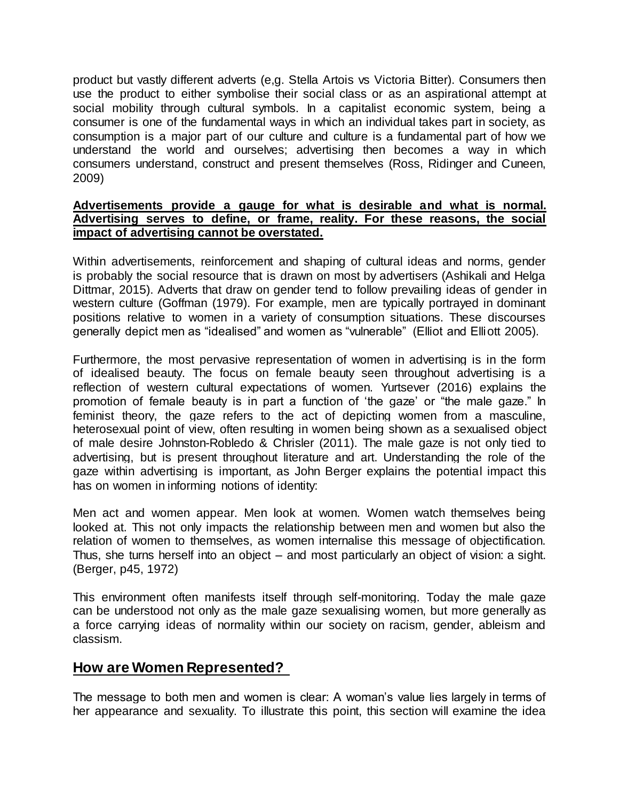product but vastly different adverts (e,g. Stella Artois vs Victoria Bitter). Consumers then use the product to either symbolise their social class or as an aspirational attempt at social mobility through cultural symbols. In a capitalist economic system, being a consumer is one of the fundamental ways in which an individual takes part in society, as consumption is a major part of our culture and culture is a fundamental part of how we understand the world and ourselves; advertising then becomes a way in which consumers understand, construct and present themselves (Ross, Ridinger and Cuneen, 2009)

#### **Advertisements provide a gauge for what is desirable and what is normal. Advertising serves to define, or frame, reality. For these reasons, the social impact of advertising cannot be overstated.**

Within advertisements, reinforcement and shaping of cultural ideas and norms, gender is probably the social resource that is drawn on most by advertisers (Ashikali and Helga Dittmar, 2015). Adverts that draw on gender tend to follow prevailing ideas of gender in western culture (Goffman (1979). For example, men are typically portrayed in dominant positions relative to women in a variety of consumption situations. These discourses generally depict men as "idealised" and women as "vulnerable" (Elliot and Elliott 2005).

Furthermore, the most pervasive representation of women in advertising is in the form of idealised beauty. The focus on female beauty seen throughout advertising is a reflection of western cultural expectations of women. Yurtsever (2016) explains the promotion of female beauty is in part a function of 'the gaze' or "the male gaze." In feminist theory, the gaze refers to the act of depicting women from a masculine, heterosexual point of view, often resulting in women being shown as a sexualised object of male desire Johnston-Robledo & Chrisler (2011). The male gaze is not only tied to advertising, but is present throughout literature and art. Understanding the role of the gaze within advertising is important, as John Berger explains the potential impact this has on women in informing notions of identity:

Men act and women appear. Men look at women. Women watch themselves being looked at. This not only impacts the relationship between men and women but also the relation of women to themselves, as women internalise this message of objectification. Thus, she turns herself into an object – and most particularly an object of vision: a sight. (Berger, p45, 1972)

This environment often manifests itself through self-monitoring. Today the male gaze can be understood not only as the male gaze sexualising women, but more generally as a force carrying ideas of normality within our society on racism, gender, ableism and classism.

### **How are Women Represented?**

The message to both men and women is clear: A woman's value lies largely in terms of her appearance and sexuality. To illustrate this point, this section will examine the idea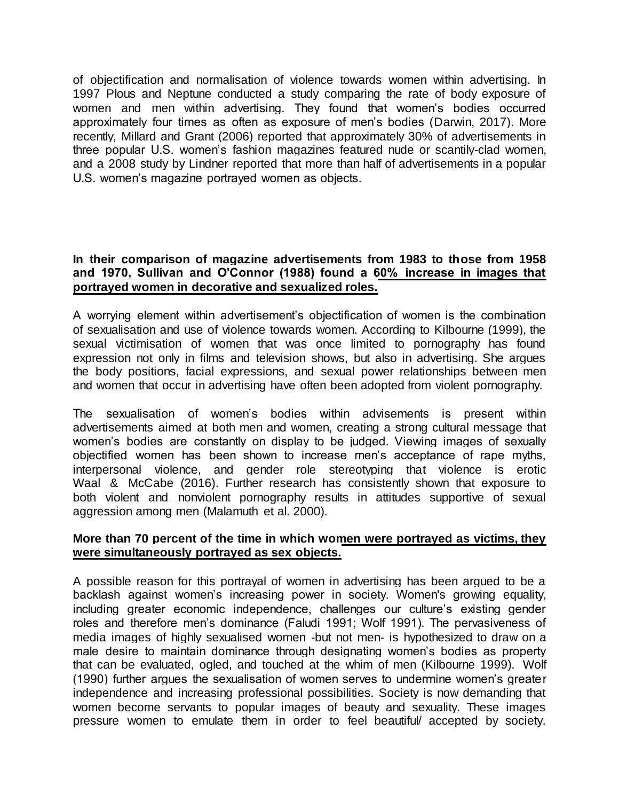of objectification and normalisation of violence towards women within advertising. In 1997 Plous and Neptune conducted a study comparing the rate of body exposure of women and men within advertising. They found that women's bodies occurred approximately four times as often as exposure of men's bodies (Darwin, 2017). More recently, Millard and Grant (2006) reported that approximately 30% of advertisements in three popular U.S. women's fashion magazines featured nude or scantily-clad women, and a 2008 study by Lindner reported that more than half of advertisements in a popular U.S. women's magazine portrayed women as objects.

### **In their comparison of magazine advertisements from 1983 to those from 1958 and 1970, Sullivan and O'Connor (1988) found a 60% increase in images that portrayed women in decorative and sexualized roles.**

A worrying element within advertisement's objectification of women is the combination of sexualisation and use of violence towards women. According to Kilbourne (1999), the sexual victimisation of women that was once limited to pornography has found expression not only in films and television shows, but also in advertising. She argues the body positions, facial expressions, and sexual power relationships between men and women that occur in advertising have often been adopted from violent pornography.

The sexualisation of women's bodies within advisements is present within advertisements aimed at both men and women, creating a strong cultural message that women's bodies are constantly on display to be judged. Viewing images of sexually objectified women has been shown to increase men's acceptance of rape myths, interpersonal violence, and gender role stereotyping that violence is erotic Waal & McCabe (2016). Further research has consistently shown that exposure to both violent and nonviolent pornography results in attitudes supportive of sexual aggression among men (Malamuth et al. 2000).

### **More than 70 percent of the time in which women were portrayed as victims, they were simultaneously portrayed as sex objects.**

A possible reason for this portrayal of women in advertising has been argued to be a backlash against women's increasing power in society. Women's growing equality, including greater economic independence, challenges our culture's existing gender roles and therefore men's dominance (Faludi 1991; Wolf 1991). The pervasiveness of media images of highly sexualised women -but not men- is hypothesized to draw on a male desire to maintain dominance through designating women's bodies as property that can be evaluated, ogled, and touched at the whim of men (Kilbourne 1999). Wolf (1990) further argues the sexualisation of women serves to undermine women's greater independence and increasing professional possibilities. Society is now demanding that women become servants to popular images of beauty and sexuality. These images pressure women to emulate them in order to feel beautiful/ accepted by society.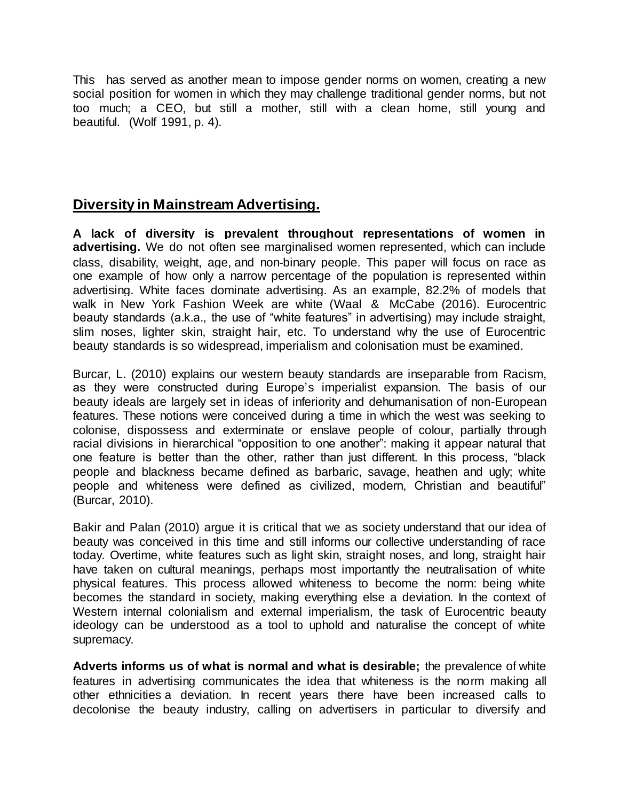This has served as another mean to impose gender norms on women, creating a new social position for women in which they may challenge traditional gender norms, but not too much; a CEO, but still a mother, still with a clean home, still young and beautiful. (Wolf 1991, p. 4).

# **Diversity in Mainstream Advertising.**

**A lack of diversity is prevalent throughout representations of women in advertising.** We do not often see marginalised women represented, which can include class, disability, weight, age, and non-binary people. This paper will focus on race as one example of how only a narrow percentage of the population is represented within advertising. White faces dominate advertising. As an example, 82.2% of models that walk in New York Fashion Week are white (Waal & McCabe (2016). Eurocentric beauty standards (a.k.a., the use of "white features" in advertising) may include straight, slim noses, lighter skin, straight hair, etc. To understand why the use of Eurocentric beauty standards is so widespread, imperialism and colonisation must be examined.

Burcar, L. (2010) explains our western beauty standards are inseparable from Racism, as they were constructed during Europe's imperialist expansion. The basis of our beauty ideals are largely set in ideas of inferiority and dehumanisation of non-European features. These notions were conceived during a time in which the west was seeking to colonise, dispossess and exterminate or enslave people of colour, partially through racial divisions in hierarchical "opposition to one another": making it appear natural that one feature is better than the other, rather than just different. In this process, "black people and blackness became defined as barbaric, savage, heathen and ugly; white people and whiteness were defined as civilized, modern, Christian and beautiful" (Burcar, 2010).

Bakir and Palan (2010) argue it is critical that we as society understand that our idea of beauty was conceived in this time and still informs our collective understanding of race today. Overtime, white features such as light skin, straight noses, and long, straight hair have taken on cultural meanings, perhaps most importantly the neutralisation of white physical features. This process allowed whiteness to become the norm: being white becomes the standard in society, making everything else a deviation. In the context of Western internal colonialism and external imperialism, the task of Eurocentric beauty ideology can be understood as a tool to uphold and naturalise the concept of white supremacy.

**Adverts informs us of what is normal and what is desirable;** the prevalence of white features in advertising communicates the idea that whiteness is the norm making all other ethnicities a deviation. In recent years there have been increased calls to decolonise the beauty industry, calling on advertisers in particular to diversify and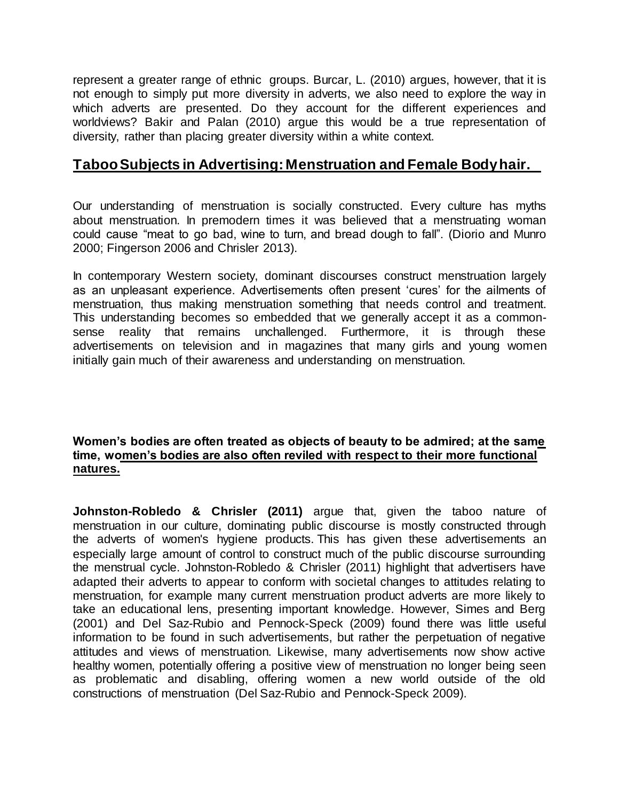represent a greater range of ethnic groups. Burcar, L. (2010) argues, however, that it is not enough to simply put more diversity in adverts, we also need to explore the way in which adverts are presented. Do they account for the different experiences and worldviews? Bakir and Palan (2010) argue this would be a true representation of diversity, rather than placing greater diversity within a white context.

### **Taboo Subjects in Advertising: Menstruation and Female Body hair.**

Our understanding of menstruation is socially constructed. Every culture has myths about menstruation. In premodern times it was believed that a menstruating woman could cause "meat to go bad, wine to turn, and bread dough to fall". (Diorio and Munro 2000; Fingerson 2006 and Chrisler 2013).

In contemporary Western society, dominant discourses construct menstruation largely as an unpleasant experience. Advertisements often present 'cures' for the ailments of menstruation, thus making menstruation something that needs control and treatment. This understanding becomes so embedded that we generally accept it as a commonsense reality that remains unchallenged. Furthermore, it is through these advertisements on television and in magazines that many girls and young women initially gain much of their awareness and understanding on menstruation.

### **Women's bodies are often treated as objects of beauty to be admired; at the same time, women's bodies are also often reviled with respect to their more functional natures.**

**Johnston-Robledo & Chrisler (2011)** argue that, given the taboo nature of menstruation in our culture, dominating public discourse is mostly constructed through the adverts of women's hygiene products. This has given these advertisements an especially large amount of control to construct much of the public discourse surrounding the menstrual cycle. Johnston-Robledo & Chrisler (2011) highlight that advertisers have adapted their adverts to appear to conform with societal changes to attitudes relating to menstruation, for example many current menstruation product adverts are more likely to take an educational lens, presenting important knowledge. However, Simes and Berg (2001) and Del Saz-Rubio and Pennock-Speck (2009) found there was little useful information to be found in such advertisements, but rather the perpetuation of negative attitudes and views of menstruation. Likewise, many advertisements now show active healthy women, potentially offering a positive view of menstruation no longer being seen as problematic and disabling, offering women a new world outside of the old constructions of menstruation (Del Saz-Rubio and Pennock-Speck 2009).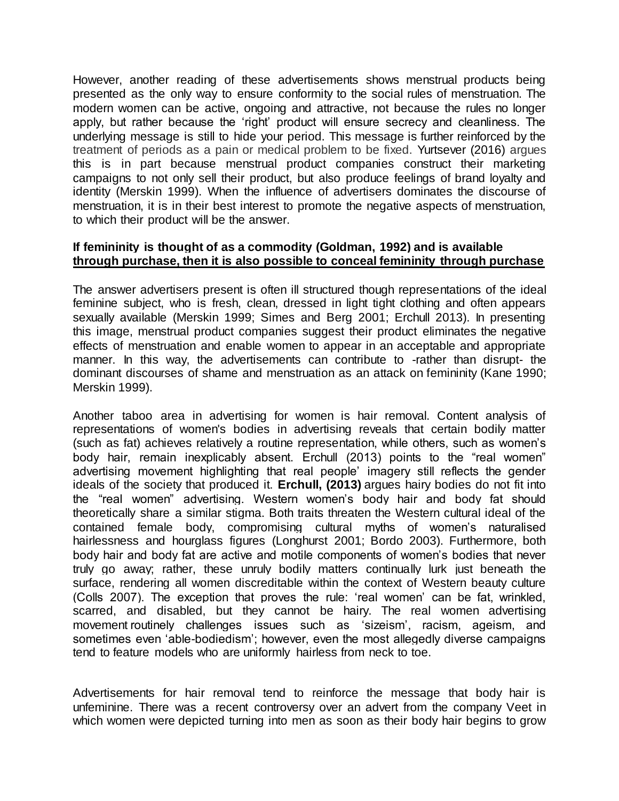However, another reading of these advertisements shows menstrual products being presented as the only way to ensure conformity to the social rules of menstruation. The modern women can be active, ongoing and attractive, not because the rules no longer apply, but rather because the 'right' product will ensure secrecy and cleanliness. The underlying message is still to hide your period. This message is further reinforced by the treatment of periods as a pain or medical problem to be fixed. Yurtsever (2016) argues this is in part because menstrual product companies construct their marketing campaigns to not only sell their product, but also produce feelings of brand loyalty and identity (Merskin 1999). When the influence of advertisers dominates the discourse of menstruation, it is in their best interest to promote the negative aspects of menstruation, to which their product will be the answer.

### **If femininity is thought of as a commodity (Goldman, 1992) and is available through purchase, then it is also possible to conceal femininity through purchase**

The answer advertisers present is often ill structured though representations of the ideal feminine subject, who is fresh, clean, dressed in light tight clothing and often appears sexually available (Merskin 1999; Simes and Berg 2001; Erchull 2013). In presenting this image, menstrual product companies suggest their product eliminates the negative effects of menstruation and enable women to appear in an acceptable and appropriate manner. In this way, the advertisements can contribute to -rather than disrupt- the dominant discourses of shame and menstruation as an attack on femininity (Kane 1990; Merskin 1999).

Another taboo area in advertising for women is hair removal. Content analysis of representations of women's bodies in advertising reveals that certain bodily matter (such as fat) achieves relatively a routine representation, while others, such as women's body hair, remain inexplicably absent. Erchull (2013) points to the "real women" advertising movement highlighting that real people' imagery still reflects the gender ideals of the society that produced it. **Erchull, (2013)** argues hairy bodies do not fit into the "real women" advertising. Western women's body hair and body fat should theoretically share a similar stigma. Both traits threaten the Western cultural ideal of the contained female body, compromising cultural myths of women's naturalised hairlessness and hourglass figures (Longhurst 2001; Bordo 2003). Furthermore, both body hair and body fat are active and motile components of women's bodies that never truly go away; rather, these unruly bodily matters continually lurk just beneath the surface, rendering all women discreditable within the context of Western beauty culture (Colls 2007). The exception that proves the rule: 'real women' can be fat, wrinkled, scarred, and disabled, but they cannot be hairy. The real women advertising movement routinely challenges issues such as 'sizeism', racism, ageism, and sometimes even 'able-bodiedism'; however, even the most allegedly diverse campaigns tend to feature models who are uniformly hairless from neck to toe.

Advertisements for hair removal tend to reinforce the message that body hair is unfeminine. There was a recent controversy over an advert from the company Veet in which women were depicted turning into men as soon as their body hair begins to grow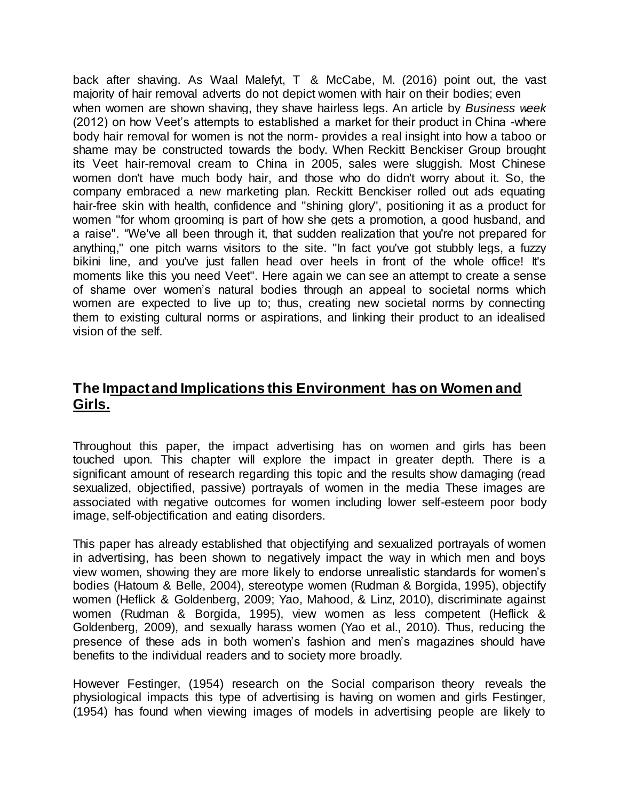back after shaving. As Waal Malefyt, T & McCabe, M. (2016) point out, the vast majority of hair removal adverts do not depict women with hair on their bodies; even when women are shown shaving, they shave hairless legs. An article by *Business week* (2012) on how Veet's attempts to established a market for their product in China -where body hair removal for women is not the norm- provides a real insight into how a taboo or shame may be constructed towards the body. When Reckitt Benckiser Group brought its Veet hair-removal cream to China in 2005, sales were sluggish. Most Chinese women don't have much body hair, and those who do didn't worry about it. So, the company embraced a new marketing plan. Reckitt Benckiser rolled out ads equating hair-free skin with health, confidence and "shining glory", positioning it as a product for women "for whom grooming is part of how she gets a promotion, a good husband, and a raise". "We've all been through it, that sudden realization that you're not prepared for anything," one pitch warns visitors to the site. "In fact you've got stubbly legs, a fuzzy bikini line, and you've just fallen head over heels in front of the whole office! It's moments like this you need Veet". Here again we can see an attempt to create a sense of shame over women's natural bodies through an appeal to societal norms which women are expected to live up to; thus, creating new societal norms by connecting them to existing cultural norms or aspirations, and linking their product to an idealised vision of the self.

# **The Impact and Implications this Environment has on Women and Girls.**

Throughout this paper, the impact advertising has on women and girls has been touched upon. This chapter will explore the impact in greater depth. There is a significant amount of research regarding this topic and the results show damaging (read sexualized, objectified, passive) portrayals of women in the media These images are associated with negative outcomes for women including lower self-esteem poor body image, self-objectification and eating disorders.

This paper has already established that objectifying and sexualized portrayals of women in advertising, has been shown to negatively impact the way in which men and boys view women, showing they are more likely to endorse unrealistic standards for women's bodies (Hatoum & Belle, 2004), stereotype women (Rudman & Borgida, 1995), objectify women (Heflick & Goldenberg, 2009; Yao, Mahood, & Linz, 2010), discriminate against women (Rudman & Borgida, 1995), view women as less competent (Heflick & Goldenberg, 2009), and sexually harass women (Yao et al., 2010). Thus, reducing the presence of these ads in both women's fashion and men's magazines should have benefits to the individual readers and to society more broadly.

However Festinger, (1954) research on the Social comparison theory reveals the physiological impacts this type of advertising is having on women and girls Festinger, (1954) has found when viewing images of models in advertising people are likely to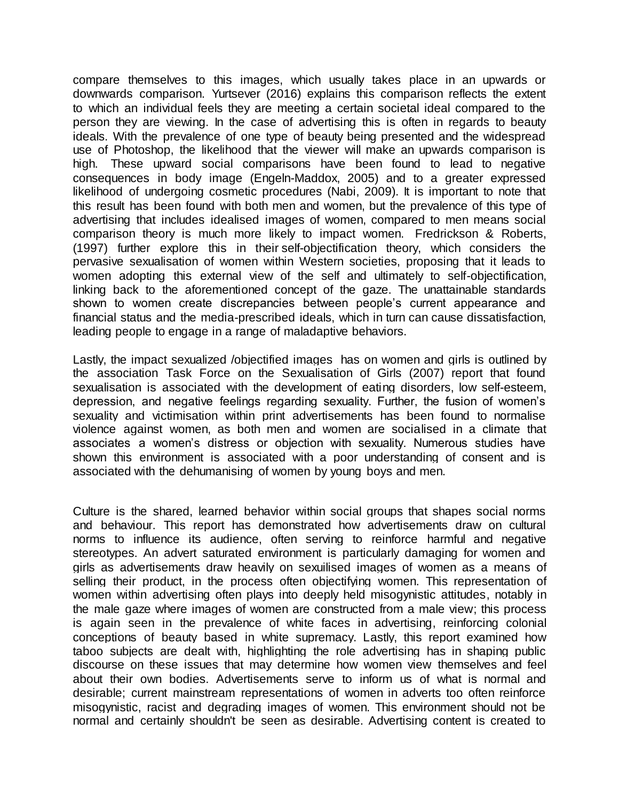compare themselves to this images, which usually takes place in an upwards or downwards comparison. Yurtsever (2016) explains this comparison reflects the extent to which an individual feels they are meeting a certain societal ideal compared to the person they are viewing. In the case of advertising this is often in regards to beauty ideals. With the prevalence of one type of beauty being presented and the widespread use of Photoshop, the likelihood that the viewer will make an upwards comparison is high. These upward social comparisons have been found to lead to negative consequences in body image (Engeln-Maddox, 2005) and to a greater expressed likelihood of undergoing cosmetic procedures (Nabi, 2009). It is important to note that this result has been found with both men and women, but the prevalence of this type of advertising that includes idealised images of women, compared to men means social comparison theory is much more likely to impact women. Fredrickson & Roberts, (1997) further explore this in their self-objectification theory, which considers the pervasive sexualisation of women within Western societies, proposing that it leads to women adopting this external view of the self and ultimately to self-objectification, linking back to the aforementioned concept of the gaze. The unattainable standards shown to women create discrepancies between people's current appearance and financial status and the media-prescribed ideals, which in turn can cause dissatisfaction, leading people to engage in a range of maladaptive behaviors.

Lastly, the impact sexualized /objectified images has on women and girls is outlined by the association Task Force on the Sexualisation of Girls (2007) report that found sexualisation is associated with the development of eating disorders, low self-esteem, depression, and negative feelings regarding sexuality. Further, the fusion of women's sexuality and victimisation within print advertisements has been found to normalise violence against women, as both men and women are socialised in a climate that associates a women's distress or objection with sexuality. Numerous studies have shown this environment is associated with a poor understanding of consent and is associated with the dehumanising of women by young boys and men.

Culture is the shared, learned behavior within social groups that shapes social norms and behaviour. This report has demonstrated how advertisements draw on cultural norms to influence its audience, often serving to reinforce harmful and negative stereotypes. An advert saturated environment is particularly damaging for women and girls as advertisements draw heavily on sexuilised images of women as a means of selling their product, in the process often objectifying women. This representation of women within advertising often plays into deeply held misogynistic attitudes, notably in the male gaze where images of women are constructed from a male view; this process is again seen in the prevalence of white faces in advertising, reinforcing colonial conceptions of beauty based in white supremacy. Lastly, this report examined how taboo subjects are dealt with, highlighting the role advertising has in shaping public discourse on these issues that may determine how women view themselves and feel about their own bodies. Advertisements serve to inform us of what is normal and desirable; current mainstream representations of women in adverts too often reinforce misogynistic, racist and degrading images of women. This environment should not be normal and certainly shouldn't be seen as desirable. Advertising content is created to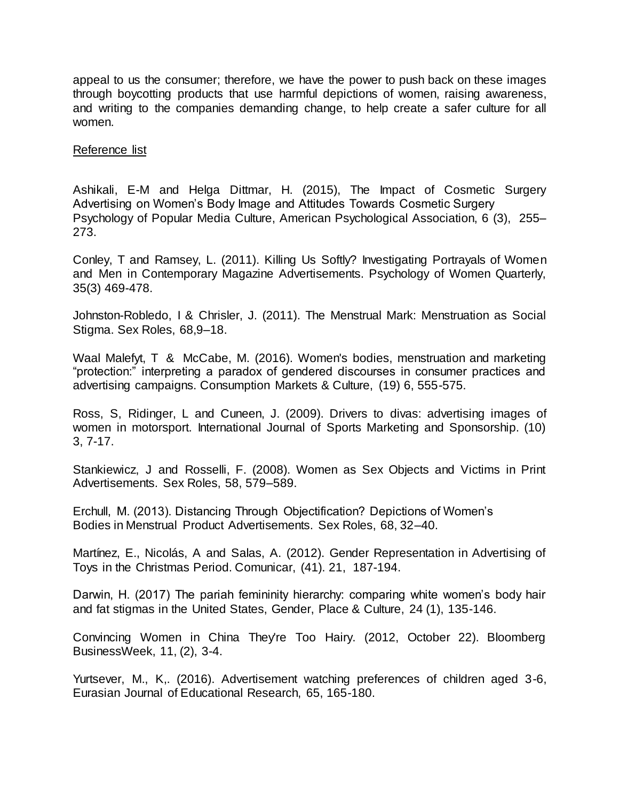appeal to us the consumer; therefore, we have the power to push back on these images through boycotting products that use harmful depictions of women, raising awareness, and writing to the companies demanding change, to help create a safer culture for all women.

#### Reference list

Ashikali, E-M and Helga Dittmar, H. (2015), The Impact of Cosmetic Surgery Advertising on Women's Body Image and Attitudes Towards Cosmetic Surgery Psychology of Popular Media Culture, American Psychological Association, 6 (3), 255– 273.

Conley, T and Ramsey, L. (2011). Killing Us Softly? Investigating Portrayals of Women and Men in Contemporary Magazine Advertisements. Psychology of Women Quarterly, 35(3) 469-478.

Johnston-Robledo, I & Chrisler, J. (2011). The Menstrual Mark: Menstruation as Social Stigma. Sex Roles, 68,9–18.

Waal Malefyt, T & McCabe, M. (2016). Women's bodies, menstruation and marketing "protection:" interpreting a paradox of gendered discourses in consumer practices and advertising campaigns. Consumption Markets & Culture, (19) 6, 555-575.

Ross, S, Ridinger, L and Cuneen, J. (2009). Drivers to divas: advertising images of women in motorsport. International Journal of Sports Marketing and Sponsorship. (10) 3, 7-17.

Stankiewicz, J and Rosselli, F. (2008). Women as Sex Objects and Victims in Print Advertisements. Sex Roles, 58, 579–589.

Erchull, M. (2013). Distancing Through Objectification? Depictions of Women's Bodies in Menstrual Product Advertisements. Sex Roles, 68, 32–40.

Martínez, E., Nicolás, A and Salas, A. (2012). Gender Representation in Advertising of Toys in the Christmas Period. Comunicar, (41). 21, 187-194.

Darwin, H. (2017) The pariah femininity hierarchy: comparing white women's body hair and fat stigmas in the United States, Gender, Place & Culture, 24 (1), 135-146.

Convincing Women in China They're Too Hairy. (2012, October 22). Bloomberg BusinessWeek, 11, (2), 3-4.

Yurtsever, M., K,. (2016). Advertisement watching preferences of children aged 3-6, Eurasian Journal of Educational Research, 65, 165-180.